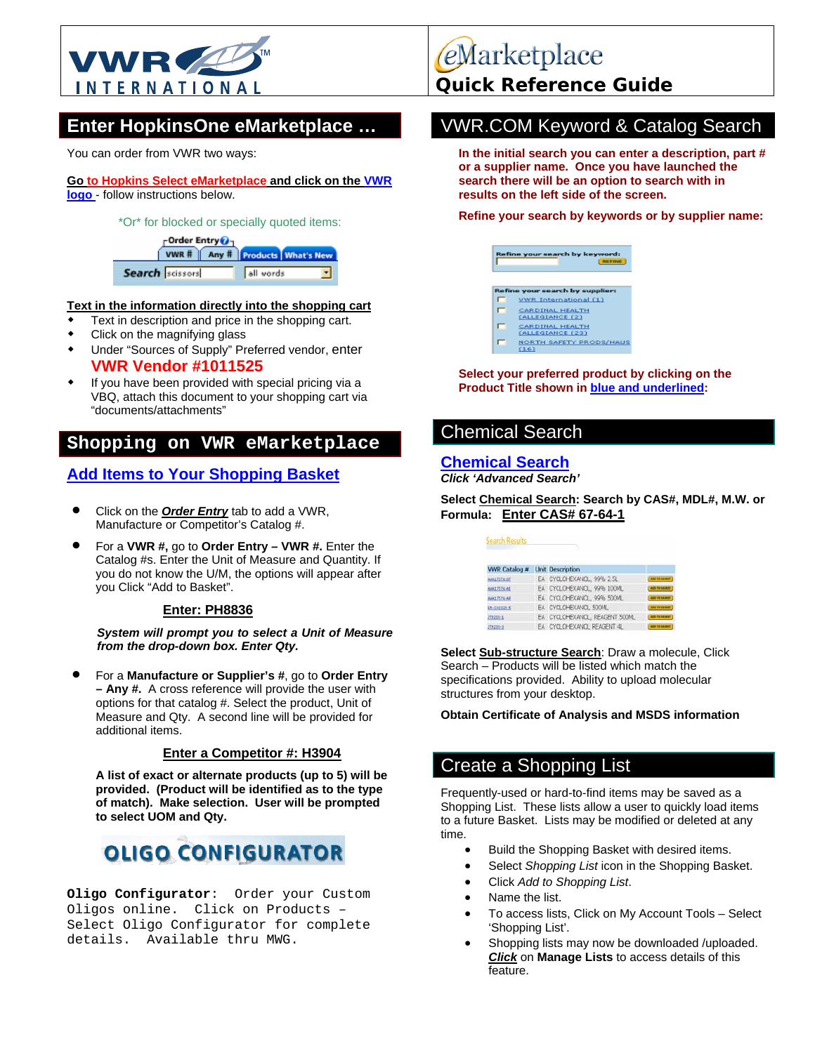

You can order from VWR two ways:

#### **Go to Hopkins Select eMarketplace and click on the VWR logo** - follow instructions below.

#### \*Or\* for blocked or specially quoted items:

| -Order Entry O- | VWR #   Any #   Products   What's New |
|-----------------|---------------------------------------|
| Search scissors | all vords                             |

#### **Text in the information directly into the shopping cart**

- Text in description and price in the shopping cart.
- Click on the magnifying glass
- Under "Sources of Supply" Preferred vendor, enter **VWR Vendor #1011525**
- If you have been provided with special pricing via a VBQ, attach this document to your shopping cart via "documents/attachments"

### **Shopping on VWR eMarketplace**

### **Add Items to Your Shopping Basket**

- Click on the *Order Entry* tab to add a VWR, Manufacture or Competitor's Catalog #.
- For a **VWR #,** go to **Order Entry VWR #.** Enter the Catalog #s. Enter the Unit of Measure and Quantity. If you do not know the U/M, the options will appear after you Click "Add to Basket".

#### **Enter: PH8836**

*System will prompt you to select a Unit of Measure from the drop-down box. Enter Qty.* 

• For a **Manufacture or Supplier's #**, go to **Order Entry – Any #.** A cross reference will provide the user with options for that catalog #. Select the product, Unit of Measure and Qty. A second line will be provided for additional items.

### **Enter a Competitor #: H3904**

**A list of exact or alternate products (up to 5) will be provided. (Product will be identified as to the type of match). Make selection. User will be prompted to select UOM and Qty.** 

# **0LIG0 CONFIGURATOR**

**Oligo Configurator**: Order your Custom Oligos online. Click on Products – Select Oligo Configurator for complete details. Available thru MWG.

eMarketplace

## **Enter HopkinsOne eMarketplace ... WWR.COM Keyword & Catalog Search**

**In the initial search you can enter a description, part # or a supplier name. Once you have launched the search there will be an option to search with in results on the left side of the screen.** 

#### **Refine your search by keywords or by supplier name:**

| Refine your search by keyword:<br><b>REFINE</b> |                                                          |  |  |  |
|-------------------------------------------------|----------------------------------------------------------|--|--|--|
|                                                 | Refine your search by supplier:<br>VWR International (1) |  |  |  |
| ┍                                               | <b>CARDINAL HEALTH</b><br><b>EALLEGIANCE (2)</b>         |  |  |  |
| ┍                                               | <b>CARDINAL HEALTH</b><br>(ALLEGIANCE (23)               |  |  |  |
|                                                 | <b>NORTH SAFETY PRODS/HAUS</b><br>(16)                   |  |  |  |

**Select your preferred product by clicking on the Product Title shown in blue and underlined:** 

### Chemical Search

### **Chemical Search**

*Click 'Advanced Search'*

**Select Chemical Search: Search by CAS#, MDL#, M.W. or Formula: Enter CAS# 67-64-1**

| <b>Search Results</b> |  |                                |                      |
|-----------------------|--|--------------------------------|----------------------|
| <b>VWR Catalog #</b>  |  | <b>Unit Description</b>        |                      |
| AAA17576-0F           |  | EA CYCLOHEXANOL, 99% 2.5L      | ADD TO RAINEY        |
| <b>AAA17576-AE</b>    |  | EA CYCLOHEXANOL, 99% 100ML     | ADE TO BAIRET        |
| <b>AAA17576-AP</b>    |  | EA CYCLOHEXANOL, 99% 500ML     | <b>ADE TE EAGLET</b> |
| <b>IM-CX2225-5</b>    |  | EA CYCLOHEXANOL 500ML          | ADD TO BALLET        |
| 219209-1              |  | EA CYCLOHEXANOL, REAGENT 500ML | ADD TO BAIRET        |
| 219208-2              |  | EA CYCLOHEXANOL REAGENT 4L     | TERMINE OR UNK       |

**Select Sub-structure Search**: Draw a molecule, Click Search – Products will be listed which match the specifications provided. Ability to upload molecular structures from your desktop.

#### **Obtain Certificate of Analysis and MSDS information**

### Create a Shopping List

Frequently-used or hard-to-find items may be saved as a Shopping List. These lists allow a user to quickly load items to a future Basket. Lists may be modified or deleted at any time.

- Build the Shopping Basket with desired items.
- Select *Shopping List* icon in the Shopping Basket.
- Click *Add to Shopping List*.
- Name the list.
- To access lists, Click on My Account Tools Select 'Shopping List'.
- Shopping lists may now be downloaded /uploaded. *Click* on **Manage Lists** to access details of this feature.